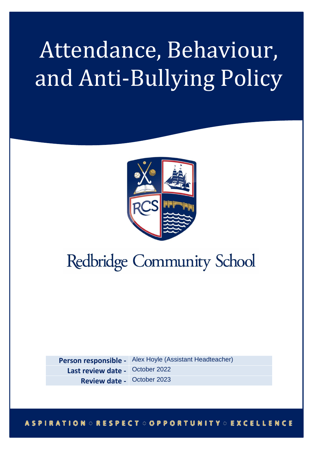# Attendance, Behaviour, and Anti-Bullying Policy



## **Redbridge Community School**

**Person responsible -** Alex Hoyle (Assistant Headteacher) **Last review date -** October 2022 **Review date -** October 2023

**ASPIRATION : RESPECT : OPPORTUNITY : EXCELLENCE**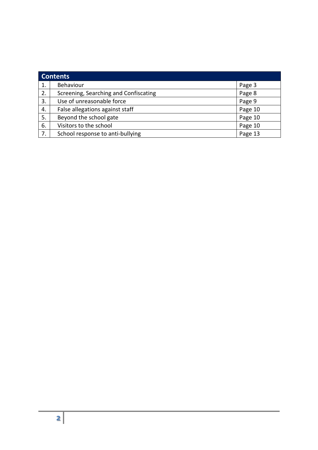| <b>Contents</b> |                                       |         |  |  |
|-----------------|---------------------------------------|---------|--|--|
| 1.              | Behaviour                             | Page 3  |  |  |
| 2.              | Screening, Searching and Confiscating | Page 8  |  |  |
| 3.              | Use of unreasonable force             | Page 9  |  |  |
| 4.              | False allegations against staff       | Page 10 |  |  |
| 5.              | Beyond the school gate                | Page 10 |  |  |
| 6.              | Visitors to the school                | Page 10 |  |  |
| 7.              | School response to anti-bullying      | Page 13 |  |  |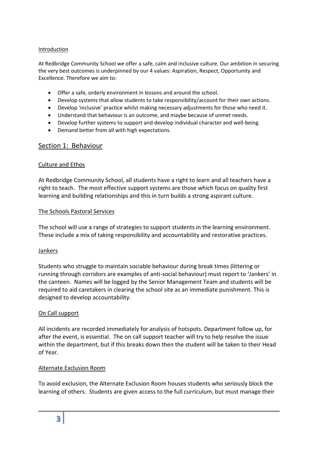#### Introduction

At Redbridge Community School we offer a safe, calm and inclusive culture. Our ambition in securing the very best outcomes is underpinned by our 4 values: Aspiration, Respect, Opportunity and Excellence. Therefore we aim to:

- Offer a safe, orderly environment in lessons and around the school.
- Develop systems that allow students to take responsibility/account for their own actions.
- Develop 'inclusive' practice whilst making necessary adjustments for those who need it.
- Understand that behaviour is an outcome, and maybe because of unmet needs.
- Develop further systems to support and develop individual character and well-being.
- Demand better from all with high expectations.

#### Section 1: Behaviour

#### Culture and Ethos

At Redbridge Community School, all students have a right to learn and all teachers have a right to teach. The most effective support systems are those which focus on quality first learning and building relationships and this in turn builds a strong aspirant culture.

#### The Schools Pastoral Services

The school will use a range of strategies to support students in the learning environment. These include a mix of taking responsibility and accountability and restorative practices.

#### Jankers

Students who struggle to maintain sociable behaviour during break times (littering or running through corridors are examples of anti-social behaviour) must report to 'Jankers' in the canteen. Names will be logged by the Senior Management Team and students will be required to aid caretakers in clearing the school site as an immediate punishment. This is designed to develop accountability.

#### On Call support

All incidents are recorded immediately for analysis of hotspots. Department follow up, for after the event, is essential. The on call support teacher will try to help resolve the issue within the department, but if this breaks down then the student will be taken to their Head of Year.

#### Alternate Exclusion Room

To avoid exclusion, the Alternate Exclusion Room houses students who seriously block the learning of others. Students are given access to the full curriculum, but must manage their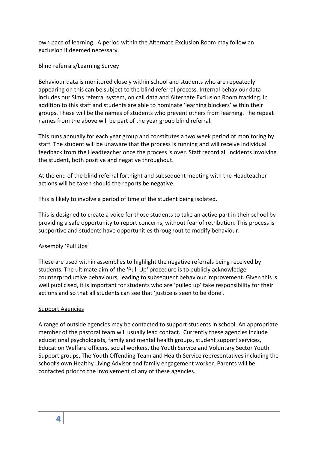own pace of learning. A period within the Alternate Exclusion Room may follow an exclusion if deemed necessary.

#### Blind referrals/Learning Survey

Behaviour data is monitored closely within school and students who are repeatedly appearing on this can be subject to the blind referral process. Internal behaviour data includes our Sims referral system, on call data and Alternate Exclusion Room tracking. In addition to this staff and students are able to nominate 'learning blockers' within their groups. These will be the names of students who prevent others from learning. The repeat names from the above will be part of the year group blind referral.

This runs annually for each year group and constitutes a two week period of monitoring by staff. The student will be unaware that the process is running and will receive individual feedback from the Headteacher once the process is over. Staff record all incidents involving the student, both positive and negative throughout.

At the end of the blind referral fortnight and subsequent meeting with the Headteacher actions will be taken should the reports be negative.

This is likely to involve a period of time of the student being isolated.

This is designed to create a voice for those students to take an active part in their school by providing a safe opportunity to report concerns, without fear of retribution. This process is supportive and students have opportunities throughout to modify behaviour.

#### Assembly 'Pull Ups'

These are used within assemblies to highlight the negative referrals being received by students. The ultimate aim of the 'Pull Up' procedure is to publicly acknowledge counterproductive behaviours, leading to subsequent behaviour improvement. Given this is well publicised, it is important for students who are 'pulled up' take responsibility for their actions and so that all students can see that 'justice is seen to be done'.

#### Support Agencies

A range of outside agencies may be contacted to support students in school. An appropriate member of the pastoral team will usually lead contact. Currently these agencies include educational psychologists, family and mental health groups, student support services, Education Welfare officers, social workers, the Youth Service and Voluntary Sector Youth Support groups, The Youth Offending Team and Health Service representatives including the school's own Healthy Living Advisor and family engagement worker. Parents will be contacted prior to the involvement of any of these agencies.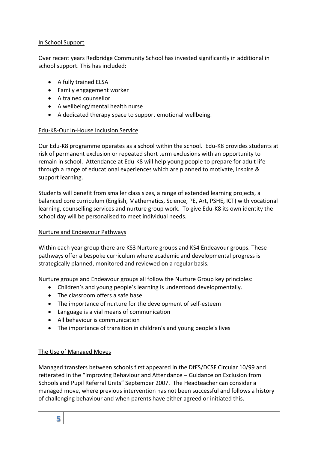#### In School Support

Over recent years Redbridge Community School has invested significantly in additional in school support. This has included:

- A fully trained ELSA
- Family engagement worker
- A trained counsellor
- A wellbeing/mental health nurse
- A dedicated therapy space to support emotional wellbeing.

#### Edu-K8-Our In-House Inclusion Service

Our Edu-K8 programme operates as a school within the school. Edu-K8 provides students at risk of permanent exclusion or repeated short term exclusions with an opportunity to remain in school. Attendance at Edu-K8 will help young people to prepare for adult life through a range of educational experiences which are planned to motivate, inspire & support learning.

Students will benefit from smaller class sizes, a range of extended learning projects, a balanced core curriculum (English, Mathematics, Science, PE, Art, PSHE, ICT) with vocational learning, counselling services and nurture group work. To give Edu-K8 its own identity the school day will be personalised to meet individual needs.

#### Nurture and Endeavour Pathways

Within each year group there are KS3 Nurture groups and KS4 Endeavour groups. These pathways offer a bespoke curriculum where academic and developmental progress is strategically planned, monitored and reviewed on a regular basis.

Nurture groups and Endeavour groups all follow the Nurture Group key principles:

- Children's and young people's learning is understood developmentally.
- The classroom offers a safe base
- The importance of nurture for the development of self-esteem
- Language is a vial means of communication
- All behaviour is communication
- The importance of transition in children's and young people's lives

#### The Use of Managed Moves

Managed transfers between schools first appeared in the DfES/DCSF Circular 10/99 and reiterated in the "Improving Behaviour and Attendance – Guidance on Exclusion from Schools and Pupil Referral Units" September 2007. The Headteacher can consider a managed move, where previous intervention has not been successful and follows a history of challenging behaviour and when parents have either agreed or initiated this.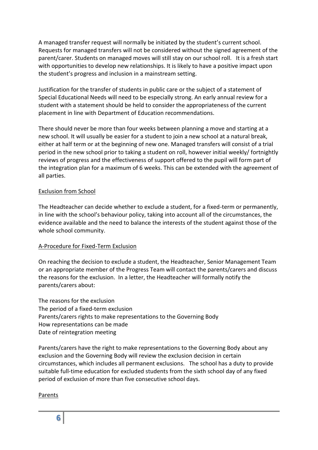A managed transfer request will normally be initiated by the student's current school. Requests for managed transfers will not be considered without the signed agreement of the parent/carer. Students on managed moves will still stay on our school roll. It is a fresh start with opportunities to develop new relationships. It is likely to have a positive impact upon the student's progress and inclusion in a mainstream setting.

Justification for the transfer of students in public care or the subject of a statement of Special Educational Needs will need to be especially strong. An early annual review for a student with a statement should be held to consider the appropriateness of the current placement in line with Department of Education recommendations.

There should never be more than four weeks between planning a move and starting at a new school. It will usually be easier for a student to join a new school at a natural break, either at half term or at the beginning of new one. Managed transfers will consist of a trial period in the new school prior to taking a student on roll, however initial weekly/ fortnightly reviews of progress and the effectiveness of support offered to the pupil will form part of the integration plan for a maximum of 6 weeks. This can be extended with the agreement of all parties.

#### Exclusion from School

The Headteacher can decide whether to exclude a student, for a fixed-term or permanently, in line with the school's behaviour policy, taking into account all of the circumstances, the evidence available and the need to balance the interests of the student against those of the whole school community.

#### A-Procedure for Fixed-Term Exclusion

On reaching the decision to exclude a student, the Headteacher, Senior Management Team or an appropriate member of the Progress Team will contact the parents/carers and discuss the reasons for the exclusion. In a letter, the Headteacher will formally notify the parents/carers about:

The reasons for the exclusion The period of a fixed-term exclusion Parents/carers rights to make representations to the Governing Body How representations can be made Date of reintegration meeting

Parents/carers have the right to make representations to the Governing Body about any exclusion and the Governing Body will review the exclusion decision in certain circumstances, which includes all permanent exclusions. The school has a duty to provide suitable full-time education for excluded students from the sixth school day of any fixed period of exclusion of more than five consecutive school days.

#### Parents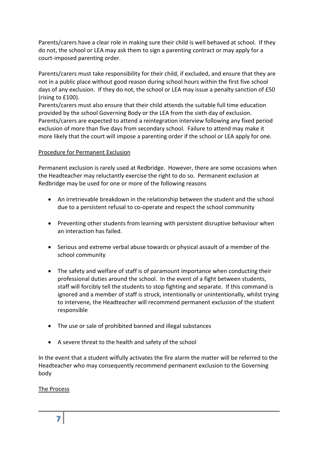Parents/carers have a clear role in making sure their child is well behaved at school. If they do not, the school or LEA may ask them to sign a parenting contract or may apply for a court-imposed parenting order.

Parents/carers must take responsibility for their child, if excluded, and ensure that they are not in a public place without good reason during school hours within the first five school days of any exclusion. If they do not, the school or LEA may issue a penalty sanction of £50 (rising to £100).

Parents/carers must also ensure that their child attends the suitable full time education provided by the school Governing Body or the LEA from the sixth day of exclusion. Parents/carers are expected to attend a reintegration interview following any fixed period exclusion of more than five days from secondary school. Failure to attend may make it more likely that the court will impose a parenting order if the school or LEA apply for one.

#### Procedure for Permanent Exclusion

Permanent exclusion is rarely used at Redbridge. However, there are some occasions when the Headteacher may reluctantly exercise the right to do so. Permanent exclusion at Redbridge may be used for one or more of the following reasons

- An irretrievable breakdown in the relationship between the student and the school due to a persistent refusal to co-operate and respect the school community
- Preventing other students from learning with persistent disruptive behaviour when an interaction has failed.
- Serious and extreme verbal abuse towards or physical assault of a member of the school community
- The safety and welfare of staff is of paramount importance when conducting their professional duties around the school. In the event of a fight between students, staff will forcibly tell the students to stop fighting and separate. If this command is ignored and a member of staff is struck, intentionally or unintentionally, whilst trying to intervene, the Headteacher will recommend permanent exclusion of the student responsible
- The use or sale of prohibited banned and illegal substances
- A severe threat to the health and safety of the school

In the event that a student wilfully activates the fire alarm the matter will be referred to the Headteacher who may consequently recommend permanent exclusion to the Governing body

The Process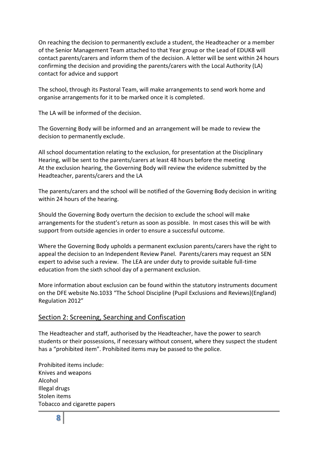On reaching the decision to permanently exclude a student, the Headteacher or a member of the Senior Management Team attached to that Year group or the Lead of EDUK8 will contact parents/carers and inform them of the decision. A letter will be sent within 24 hours confirming the decision and providing the parents/carers with the Local Authority (LA) contact for advice and support

The school, through its Pastoral Team, will make arrangements to send work home and organise arrangements for it to be marked once it is completed.

The LA will be informed of the decision.

The Governing Body will be informed and an arrangement will be made to review the decision to permanently exclude.

All school documentation relating to the exclusion, for presentation at the Disciplinary Hearing, will be sent to the parents/carers at least 48 hours before the meeting At the exclusion hearing, the Governing Body will review the evidence submitted by the Headteacher, parents/carers and the LA

The parents/carers and the school will be notified of the Governing Body decision in writing within 24 hours of the hearing.

Should the Governing Body overturn the decision to exclude the school will make arrangements for the student's return as soon as possible. In most cases this will be with support from outside agencies in order to ensure a successful outcome.

Where the Governing Body upholds a permanent exclusion parents/carers have the right to appeal the decision to an Independent Review Panel. Parents/carers may request an SEN expert to advise such a review. The LEA are under duty to provide suitable full-time education from the sixth school day of a permanent exclusion.

More information about exclusion can be found within the statutory instruments document on the DFE website No.1033 "The School Discipline (Pupil Exclusions and Reviews)(England) Regulation 2012"

#### Section 2: Screening, Searching and Confiscation

The Headteacher and staff, authorised by the Headteacher, have the power to search students or their possessions, if necessary without consent, where they suspect the student has a "prohibited item". Prohibited items may be passed to the police.

Prohibited items include: Knives and weapons Alcohol Illegal drugs Stolen items Tobacco and cigarette papers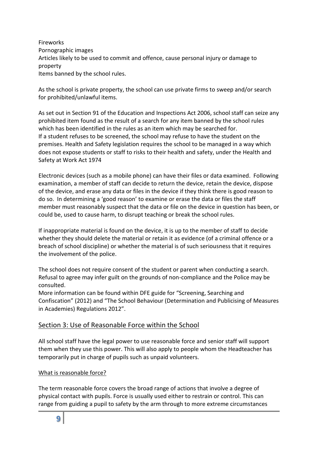Fireworks Pornographic images Articles likely to be used to commit and offence, cause personal injury or damage to property Items banned by the school rules.

As the school is private property, the school can use private firms to sweep and/or search for prohibited/unlawful items.

As set out in Section 91 of the Education and Inspections Act 2006, school staff can seize any prohibited item found as the result of a search for any item banned by the school rules which has been identified in the rules as an item which may be searched for. If a student refuses to be screened, the school may refuse to have the student on the premises. Health and Safety legislation requires the school to be managed in a way which does not expose students or staff to risks to their health and safety, under the Health and Safety at Work Act 1974

Electronic devices (such as a mobile phone) can have their files or data examined. Following examination, a member of staff can decide to return the device, retain the device, dispose of the device, and erase any data or files in the device if they think there is good reason to do so. In determining a 'good reason' to examine or erase the data or files the staff member must reasonably suspect that the data or file on the device in question has been, or could be, used to cause harm, to disrupt teaching or break the school rules.

If inappropriate material is found on the device, it is up to the member of staff to decide whether they should delete the material or retain it as evidence (of a criminal offence or a breach of school discipline) or whether the material is of such seriousness that it requires the involvement of the police.

The school does not require consent of the student or parent when conducting a search. Refusal to agree may infer guilt on the grounds of non-compliance and the Police may be consulted.

More information can be found within DFE guide for "Screening, Searching and Confiscation" (2012) and "The School Behaviour (Determination and Publicising of Measures in Academies) Regulations 2012".

#### Section 3: Use of Reasonable Force within the School

All school staff have the legal power to use reasonable force and senior staff will support them when they use this power. This will also apply to people whom the Headteacher has temporarily put in charge of pupils such as unpaid volunteers.

#### What is reasonable force?

The term reasonable force covers the broad range of actions that involve a degree of physical contact with pupils. Force is usually used either to restrain or control. This can range from guiding a pupil to safety by the arm through to more extreme circumstances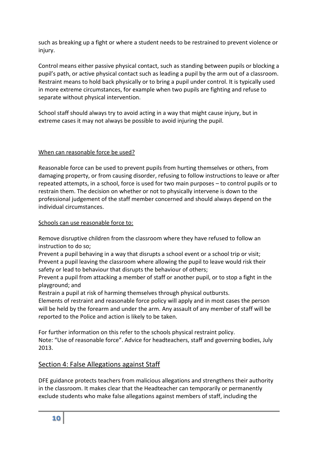such as breaking up a fight or where a student needs to be restrained to prevent violence or injury.

Control means either passive physical contact, such as standing between pupils or blocking a pupil's path, or active physical contact such as leading a pupil by the arm out of a classroom. Restraint means to hold back physically or to bring a pupil under control. It is typically used in more extreme circumstances, for example when two pupils are fighting and refuse to separate without physical intervention.

School staff should always try to avoid acting in a way that might cause injury, but in extreme cases it may not always be possible to avoid injuring the pupil.

#### When can reasonable force be used?

Reasonable force can be used to prevent pupils from hurting themselves or others, from damaging property, or from causing disorder, refusing to follow instructions to leave or after repeated attempts, in a school, force is used for two main purposes – to control pupils or to restrain them. The decision on whether or not to physically intervene is down to the professional judgement of the staff member concerned and should always depend on the individual circumstances.

#### Schools can use reasonable force to:

Remove disruptive children from the classroom where they have refused to follow an instruction to do so;

Prevent a pupil behaving in a way that disrupts a school event or a school trip or visit; Prevent a pupil leaving the classroom where allowing the pupil to leave would risk their safety or lead to behaviour that disrupts the behaviour of others;

Prevent a pupil from attacking a member of staff or another pupil, or to stop a fight in the playground; and

Restrain a pupil at risk of harming themselves through physical outbursts.

Elements of restraint and reasonable force policy will apply and in most cases the person will be held by the forearm and under the arm. Any assault of any member of staff will be reported to the Police and action is likely to be taken.

For further information on this refer to the schools physical restraint policy. Note: "Use of reasonable force". Advice for headteachers, staff and governing bodies, July 2013.

#### Section 4: False Allegations against Staff

DFE guidance protects teachers from malicious allegations and strengthens their authority in the classroom. It makes clear that the Headteacher can temporarily or permanently exclude students who make false allegations against members of staff, including the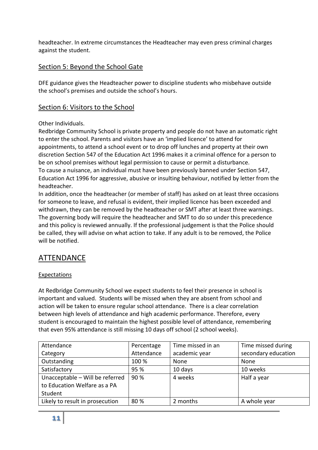headteacher. In extreme circumstances the Headteacher may even press criminal charges against the student.

#### Section 5: Beyond the School Gate

DFE guidance gives the Headteacher power to discipline students who misbehave outside the school's premises and outside the school's hours.

#### Section 6: Visitors to the School

#### Other Individuals.

Redbridge Community School is private property and people do not have an automatic right to enter the school. Parents and visitors have an 'implied licence' to attend for appointments, to attend a school event or to drop off lunches and property at their own discretion Section 547 of the Education Act 1996 makes it a criminal offence for a person to be on school premises without legal permission to cause or permit a disturbance. To cause a nuisance, an individual must have been previously banned under Section 547, Education Act 1996 for aggressive, abusive or insulting behaviour, notified by letter from the headteacher.

In addition, once the headteacher (or member of staff) has asked on at least three occasions for someone to leave, and refusal is evident, their implied licence has been exceeded and withdrawn, they can be removed by the headteacher or SMT after at least three warnings. The governing body will require the headteacher and SMT to do so under this precedence and this policy is reviewed annually. If the professional judgement is that the Police should be called, they will advise on what action to take. If any adult is to be removed, the Police will be notified.

#### ATTENDANCE

#### Expectations

At Redbridge Community School we expect students to feel their presence in school is important and valued. Students will be missed when they are absent from school and action will be taken to ensure regular school attendance. There is a clear correlation between high levels of attendance and high academic performance. Therefore, every student is encouraged to maintain the highest possible level of attendance, remembering that even 95% attendance is still missing 10 days off school (2 school weeks).

| Attendance                                                      | Percentage | Time missed in an | Time missed during  |
|-----------------------------------------------------------------|------------|-------------------|---------------------|
| Category                                                        | Attendance | academic year     | secondary education |
| Outstanding                                                     | 100 %      | None              | None                |
| Satisfactory                                                    | 95 %       | 10 days           | 10 weeks            |
| Unacceptable - Will be referred<br>to Education Welfare as a PA | 90 %       | 4 weeks           | Half a year         |
| Student                                                         |            |                   |                     |
| Likely to result in prosecution                                 | 80%        | 2 months          | A whole year        |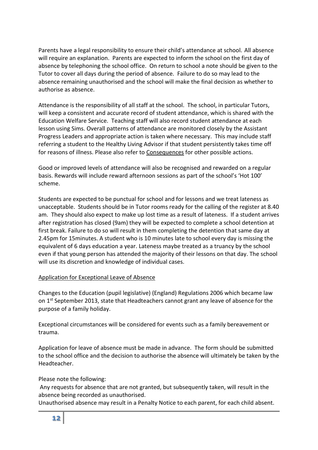Parents have a legal responsibility to ensure their child's attendance at school. All absence will require an explanation. Parents are expected to inform the school on the first day of absence by telephoning the school office. On return to school a note should be given to the Tutor to cover all days during the period of absence. Failure to do so may lead to the absence remaining unauthorised and the school will make the final decision as whether to authorise as absence.

Attendance is the responsibility of all staff at the school. The school, in particular Tutors, will keep a consistent and accurate record of student attendance, which is shared with the Education Welfare Service. Teaching staff will also record student attendance at each lesson using Sims. Overall patterns of attendance are monitored closely by the Assistant Progress Leaders and appropriate action is taken where necessary. This may include staff referring a student to the Healthy Living Advisor if that student persistently takes time off for reasons of illness. Please also refer to Consequences for other possible actions.

Good or improved levels of attendance will also be recognised and rewarded on a regular basis. Rewards will include reward afternoon sessions as part of the school's 'Hot 100' scheme.

Students are expected to be punctual for school and for lessons and we treat lateness as unacceptable. Students should be in Tutor rooms ready for the calling of the register at 8.40 am. They should also expect to make up lost time as a result of lateness. If a student arrives after registration has closed (9am) they will be expected to complete a school detention at first break. Failure to do so will result in them completing the detention that same day at 2.45pm for 15minutes. A student who is 10 minutes late to school every day is missing the equivalent of 6 days education a year. Lateness maybe treated as a truancy by the school even if that young person has attended the majority of their lessons on that day. The school will use its discretion and knowledge of individual cases.

#### Application for Exceptional Leave of Absence

Changes to the Education (pupil legislative) (England) Regulations 2006 which became law on 1<sup>st</sup> September 2013, state that Headteachers cannot grant any leave of absence for the purpose of a family holiday.

Exceptional circumstances will be considered for events such as a family bereavement or trauma.

Application for leave of absence must be made in advance. The form should be submitted to the school office and the decision to authorise the absence will ultimately be taken by the Headteacher.

Please note the following:

Any requests for absence that are not granted, but subsequently taken, will result in the absence being recorded as unauthorised.

Unauthorised absence may result in a Penalty Notice to each parent, for each child absent.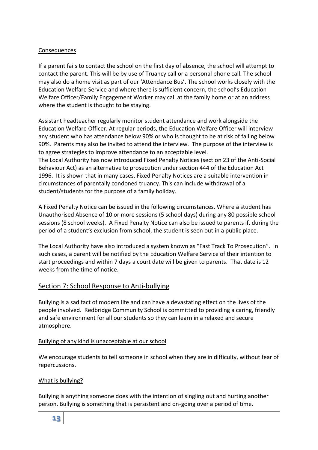#### Consequences

If a parent fails to contact the school on the first day of absence, the school will attempt to contact the parent. This will be by use of Truancy call or a personal phone call. The school may also do a home visit as part of our 'Attendance Bus'. The school works closely with the Education Welfare Service and where there is sufficient concern, the school's Education Welfare Officer/Family Engagement Worker may call at the family home or at an address where the student is thought to be staying.

Assistant headteacher regularly monitor student attendance and work alongside the Education Welfare Officer. At regular periods, the Education Welfare Officer will interview any student who has attendance below 90% or who is thought to be at risk of falling below 90%. Parents may also be invited to attend the interview. The purpose of the interview is to agree strategies to improve attendance to an acceptable level. The Local Authority has now introduced Fixed Penalty Notices (section 23 of the Anti-Social Behaviour Act) as an alternative to prosecution under section 444 of the Education Act 1996. It is shown that in many cases, Fixed Penalty Notices are a suitable intervention in circumstances of parentally condoned truancy. This can include withdrawal of a student/students for the purpose of a family holiday.

A Fixed Penalty Notice can be issued in the following circumstances. Where a student has Unauthorised Absence of 10 or more sessions (5 school days) during any 80 possible school sessions (8 school weeks). A Fixed Penalty Notice can also be issued to parents if, during the period of a student's exclusion from school, the student is seen out in a public place.

The Local Authority have also introduced a system known as "Fast Track To Prosecution". In such cases, a parent will be notified by the Education Welfare Service of their intention to start proceedings and within 7 days a court date will be given to parents. That date is 12 weeks from the time of notice.

#### Section 7: School Response to Anti-bullying

Bullying is a sad fact of modern life and can have a devastating effect on the lives of the people involved. Redbridge Community School is committed to providing a caring, friendly and safe environment for all our students so they can learn in a relaxed and secure atmosphere.

#### Bullying of any kind is unacceptable at our school

We encourage students to tell someone in school when they are in difficulty, without fear of repercussions.

#### What is bullying?

Bullying is anything someone does with the intention of singling out and hurting another person. Bullying is something that is persistent and on-going over a period of time.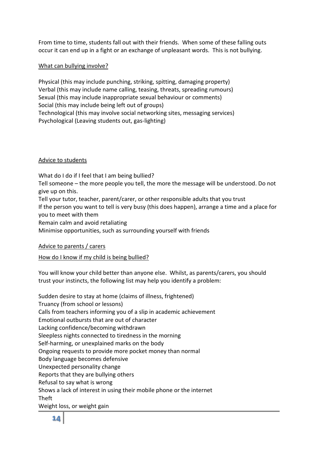From time to time, students fall out with their friends. When some of these falling outs occur it can end up in a fight or an exchange of unpleasant words. This is not bullying.

#### What can bullying involve?

Physical (this may include punching, striking, spitting, damaging property) Verbal (this may include name calling, teasing, threats, spreading rumours) Sexual (this may include inappropriate sexual behaviour or comments) Social (this may include being left out of groups) Technological (this may involve social networking sites, messaging services) Psychological (Leaving students out, gas-lighting)

#### Advice to students

What do I do if I feel that I am being bullied? Tell someone – the more people you tell, the more the message will be understood. Do not give up on this. Tell your tutor, teacher, parent/carer, or other responsible adults that you trust If the person you want to tell is very busy (this does happen), arrange a time and a place for you to meet with them Remain calm and avoid retaliating Minimise opportunities, such as surrounding yourself with friends

#### Advice to parents / carers

#### How do I know if my child is being bullied?

You will know your child better than anyone else. Whilst, as parents/carers, you should trust your instincts, the following list may help you identify a problem:

Sudden desire to stay at home (claims of illness, frightened) Truancy (from school or lessons) Calls from teachers informing you of a slip in academic achievement Emotional outbursts that are out of character Lacking confidence/becoming withdrawn Sleepless nights connected to tiredness in the morning Self-harming, or unexplained marks on the body Ongoing requests to provide more pocket money than normal Body language becomes defensive Unexpected personality change Reports that they are bullying others Refusal to say what is wrong Shows a lack of interest in using their mobile phone or the internet Theft Weight loss, or weight gain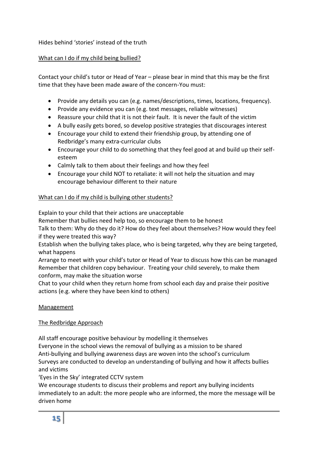#### Hides behind 'stories' instead of the truth

#### What can I do if my child being bullied?

Contact your child's tutor or Head of Year – please bear in mind that this may be the first time that they have been made aware of the concern-You must:

- Provide any details you can (e.g. names/descriptions, times, locations, frequency).
- Provide any evidence you can (e.g. text messages, reliable witnesses)
- Reassure your child that it is not their fault. It is never the fault of the victim
- A bully easily gets bored, so develop positive strategies that discourages interest
- Encourage your child to extend their friendship group, by attending one of Redbridge's many extra-curricular clubs
- Encourage your child to do something that they feel good at and build up their selfesteem
- Calmly talk to them about their feelings and how they feel
- Encourage your child NOT to retaliate: it will not help the situation and may encourage behaviour different to their nature

#### What can I do if my child is bullying other students?

Explain to your child that their actions are unacceptable

Remember that bullies need help too, so encourage them to be honest

Talk to them: Why do they do it? How do they feel about themselves? How would they feel if they were treated this way?

Establish when the bullying takes place, who is being targeted, why they are being targeted, what happens

Arrange to meet with your child's tutor or Head of Year to discuss how this can be managed Remember that children copy behaviour. Treating your child severely, to make them conform, may make the situation worse

Chat to your child when they return home from school each day and praise their positive actions (e.g. where they have been kind to others)

#### Management

#### The Redbridge Approach

All staff encourage positive behaviour by modelling it themselves

Everyone in the school views the removal of bullying as a mission to be shared Anti-bullying and bullying awareness days are woven into the school's curriculum Surveys are conducted to develop an understanding of bullying and how it affects bullies and victims

'Eyes in the Sky' integrated CCTV system

We encourage students to discuss their problems and report any bullying incidents immediately to an adult: the more people who are informed, the more the message will be driven home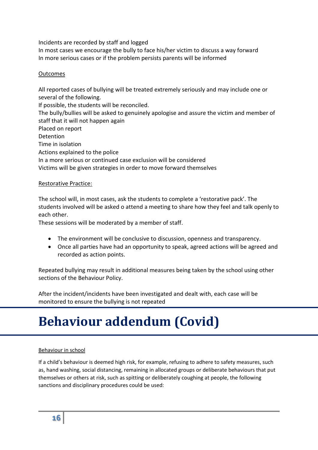Incidents are recorded by staff and logged

In most cases we encourage the bully to face his/her victim to discuss a way forward In more serious cases or if the problem persists parents will be informed

#### **Outcomes**

All reported cases of bullying will be treated extremely seriously and may include one or several of the following.

If possible, the students will be reconciled.

The bully/bullies will be asked to genuinely apologise and assure the victim and member of staff that it will not happen again

Placed on report

Detention

Time in isolation

Actions explained to the police

In a more serious or continued case exclusion will be considered

Victims will be given strategies in order to move forward themselves

#### Restorative Practice:

The school will, in most cases, ask the students to complete a 'restorative pack'. The students involved will be asked o attend a meeting to share how they feel and talk openly to each other.

These sessions will be moderated by a member of staff.

- The environment will be conclusive to discussion, openness and transparency.
- Once all parties have had an opportunity to speak, agreed actions will be agreed and recorded as action points.

Repeated bullying may result in additional measures being taken by the school using other sections of the Behaviour Policy.

After the incident/incidents have been investigated and dealt with, each case will be monitored to ensure the bullying is not repeated

### **Behaviour addendum (Covid)**

#### Behaviour in school

If a child's behaviour is deemed high risk, for example, refusing to adhere to safety measures, such as, hand washing, social distancing, remaining in allocated groups or deliberate behaviours that put themselves or others at risk, such as spitting or deliberately coughing at people, the following sanctions and disciplinary procedures could be used: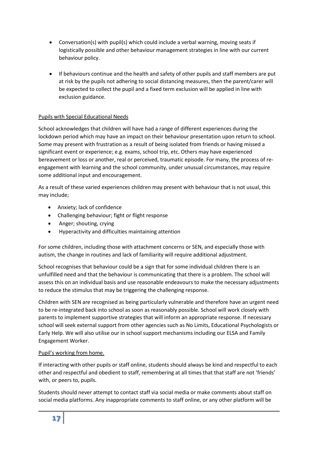- Conversation(s) with pupil(s) which could include a verbal warning, moving seats if logistically possible and other behaviour management strategies in line with our current behaviour policy.
- If behaviours continue and the health and safety of other pupils and staff members are put at risk by the pupils not adhering to social distancing measures, then the parent/carer will be expected to collect the pupil and a fixed term exclusion will be applied in line with exclusion guidance.

#### Pupils with Special Educational Needs

School acknowledges that children will have had a range of different experiences during the lockdown period which may have an impact on their behaviour presentation upon return to school. Some may present with frustration as a result of being isolated from friends or having missed a significant event or experience; e.g. exams, school trip, etc. Others may have experienced bereavement or loss or another, real or perceived, traumatic episode. For many, the process of reengagement with learning and the school community, under unusual circumstances, may require some additional input and encouragement.

As a result of these varied experiences children may present with behaviour that is not usual, this may include;

- Anxiety; lack of confidence
- Challenging behaviour; fight or flight response
- Anger; shouting, crying
- Hyperactivity and difficulties maintaining attention

For some children, including those with attachment concerns or SEN, and especially those with autism, the change in routines and lack of familiarity will require additional adjustment.

School recognises that behaviour could be a sign that for some individual children there is an unfulfilled need and that the behaviour is communicating that there is a problem. The school will assess this on an individual basis and use reasonable endeavours to make the necessary adjustments to reduce the stimulus that may be triggering the challenging response.

Children with SEN are recognised as being particularly vulnerable and therefore have an urgent need to be re-integrated back into school as soon as reasonably possible. School will work closely with parents to implement supportive strategies that will inform an appropriate response. If necessary school will seek external support from other agencies such as No Limits, Educational Psychologists or Early Help. We will also utilise our in school support mechanisms including our ELSA and Family Engagement Worker.

#### Pupil's working from home.

If interacting with other pupils or staff online, students should always be kind and respectful to each other and respectful and obedient to staff, remembering at all times that that staff are not 'friends' with, or peers to, pupils.

Students should never attempt to contact staff via social media or make comments about staff on social media platforms. Any inappropriate comments to staff online, or any other platform will be